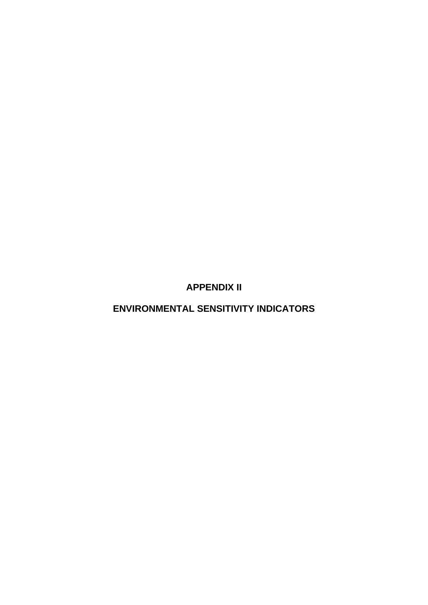**APPENDIX II** 

**ENVIRONMENTAL SENSITIVITY INDICATORS**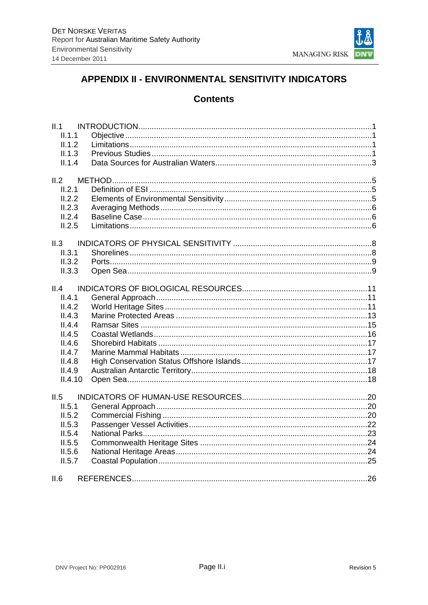

# APPENDIX II - ENVIRONMENTAL SENSITIVITY INDICATORS

# **Contents**

| II.1    |  |
|---------|--|
| II.1.1  |  |
| II.1.2  |  |
| II.1.3  |  |
| II.1.4  |  |
|         |  |
| II.2    |  |
| II.2.1  |  |
| II.2.2  |  |
| II.2.3  |  |
| II.2.4  |  |
| II.2.5  |  |
|         |  |
| II.3    |  |
| II.3.1  |  |
| II.3.2  |  |
| II.3.3  |  |
| II.4    |  |
| II.4.1  |  |
| II.4.2  |  |
|         |  |
| II.4.3  |  |
| II.4.4  |  |
| II.4.5  |  |
| II.4.6  |  |
| II.4.7  |  |
| II.4.8  |  |
| II.4.9  |  |
| II.4.10 |  |
| II.5    |  |
| II.5.1  |  |
| II.5.2  |  |
| II.5.3  |  |
|         |  |
| II.5.4  |  |
| II.5.5  |  |
| II.5.6  |  |
| II.5.7  |  |
| II.6    |  |
|         |  |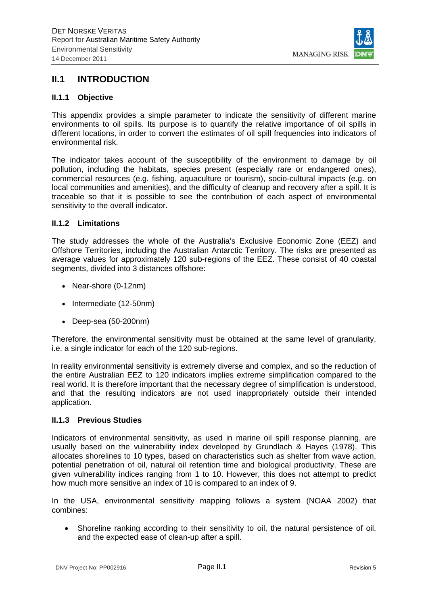

# **II.1 INTRODUCTION**

#### **II.1.1 Objective**

This appendix provides a simple parameter to indicate the sensitivity of different marine environments to oil spills. Its purpose is to quantify the relative importance of oil spills in different locations, in order to convert the estimates of oil spill frequencies into indicators of environmental risk.

The indicator takes account of the susceptibility of the environment to damage by oil pollution, including the habitats, species present (especially rare or endangered ones), commercial resources (e.g. fishing, aquaculture or tourism), socio-cultural impacts (e.g. on local communities and amenities), and the difficulty of cleanup and recovery after a spill. It is traceable so that it is possible to see the contribution of each aspect of environmental sensitivity to the overall indicator.

#### **II.1.2 Limitations**

The study addresses the whole of the Australia's Exclusive Economic Zone (EEZ) and Offshore Territories, including the Australian Antarctic Territory. The risks are presented as average values for approximately 120 sub-regions of the EEZ. These consist of 40 coastal segments, divided into 3 distances offshore:

- Near-shore (0-12nm)
- Intermediate (12-50nm)
- Deep-sea (50-200nm)

Therefore, the environmental sensitivity must be obtained at the same level of granularity, i.e. a single indicator for each of the 120 sub-regions.

In reality environmental sensitivity is extremely diverse and complex, and so the reduction of the entire Australian EEZ to 120 indicators implies extreme simplification compared to the real world. It is therefore important that the necessary degree of simplification is understood, and that the resulting indicators are not used inappropriately outside their intended application.

#### **II.1.3 Previous Studies**

Indicators of environmental sensitivity, as used in marine oil spill response planning, are usually based on the vulnerability index developed by Grundlach & Hayes (1978). This allocates shorelines to 10 types, based on characteristics such as shelter from wave action, potential penetration of oil, natural oil retention time and biological productivity. These are given vulnerability indices ranging from 1 to 10. However, this does not attempt to predict how much more sensitive an index of 10 is compared to an index of 9.

In the USA, environmental sensitivity mapping follows a system (NOAA 2002) that combines:

 Shoreline ranking according to their sensitivity to oil, the natural persistence of oil, and the expected ease of clean-up after a spill.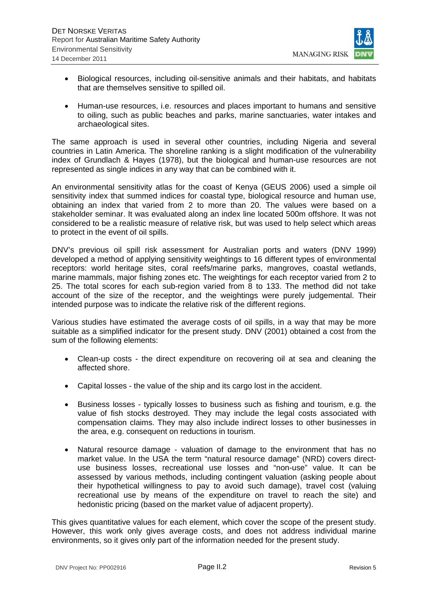

- Biological resources, including oil-sensitive animals and their habitats, and habitats that are themselves sensitive to spilled oil.
- Human-use resources, i.e. resources and places important to humans and sensitive to oiling, such as public beaches and parks, marine sanctuaries, water intakes and archaeological sites.

The same approach is used in several other countries, including Nigeria and several countries in Latin America. The shoreline ranking is a slight modification of the vulnerability index of Grundlach & Hayes (1978), but the biological and human-use resources are not represented as single indices in any way that can be combined with it.

An environmental sensitivity atlas for the coast of Kenya (GEUS 2006) used a simple oil sensitivity index that summed indices for coastal type, biological resource and human use, obtaining an index that varied from 2 to more than 20. The values were based on a stakeholder seminar. It was evaluated along an index line located 500m offshore. It was not considered to be a realistic measure of relative risk, but was used to help select which areas to protect in the event of oil spills.

DNV's previous oil spill risk assessment for Australian ports and waters (DNV 1999) developed a method of applying sensitivity weightings to 16 different types of environmental receptors: world heritage sites, coral reefs/marine parks, mangroves, coastal wetlands, marine mammals, major fishing zones etc. The weightings for each receptor varied from 2 to 25. The total scores for each sub-region varied from 8 to 133. The method did not take account of the size of the receptor, and the weightings were purely judgemental. Their intended purpose was to indicate the relative risk of the different regions.

Various studies have estimated the average costs of oil spills, in a way that may be more suitable as a simplified indicator for the present study. DNV (2001) obtained a cost from the sum of the following elements:

- Clean-up costs the direct expenditure on recovering oil at sea and cleaning the affected shore.
- Capital losses the value of the ship and its cargo lost in the accident.
- Business losses typically losses to business such as fishing and tourism, e.g. the value of fish stocks destroyed. They may include the legal costs associated with compensation claims. They may also include indirect losses to other businesses in the area, e.g. consequent on reductions in tourism.
- Natural resource damage valuation of damage to the environment that has no market value. In the USA the term "natural resource damage" (NRD) covers directuse business losses, recreational use losses and "non-use" value. It can be assessed by various methods, including contingent valuation (asking people about their hypothetical willingness to pay to avoid such damage), travel cost (valuing recreational use by means of the expenditure on travel to reach the site) and hedonistic pricing (based on the market value of adjacent property).

This gives quantitative values for each element, which cover the scope of the present study. However, this work only gives average costs, and does not address individual marine environments, so it gives only part of the information needed for the present study.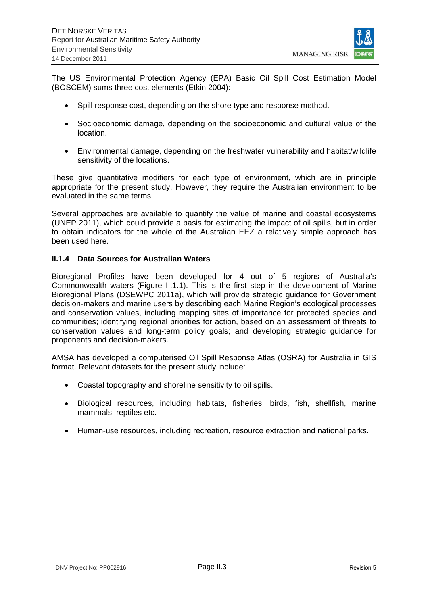

The US Environmental Protection Agency (EPA) Basic Oil Spill Cost Estimation Model (BOSCEM) sums three cost elements (Etkin 2004):

- Spill response cost, depending on the shore type and response method.
- Socioeconomic damage, depending on the socioeconomic and cultural value of the location.
- Environmental damage, depending on the freshwater vulnerability and habitat/wildlife sensitivity of the locations.

These give quantitative modifiers for each type of environment, which are in principle appropriate for the present study. However, they require the Australian environment to be evaluated in the same terms.

Several approaches are available to quantify the value of marine and coastal ecosystems (UNEP 2011), which could provide a basis for estimating the impact of oil spills, but in order to obtain indicators for the whole of the Australian EEZ a relatively simple approach has been used here.

#### **II.1.4 Data Sources for Australian Waters**

Bioregional Profiles have been developed for 4 out of 5 regions of Australia's Commonwealth waters (Figure II.1.1). This is the first step in the development of Marine Bioregional Plans (DSEWPC 2011a), which will provide strategic guidance for Government decision-makers and marine users by describing each Marine Region's ecological processes and conservation values, including mapping sites of importance for protected species and communities; identifying regional priorities for action, based on an assessment of threats to conservation values and long-term policy goals; and developing strategic guidance for proponents and decision-makers.

AMSA has developed a computerised Oil Spill Response Atlas (OSRA) for Australia in GIS format. Relevant datasets for the present study include:

- Coastal topography and shoreline sensitivity to oil spills.
- Biological resources, including habitats, fisheries, birds, fish, shellfish, marine mammals, reptiles etc.
- Human-use resources, including recreation, resource extraction and national parks.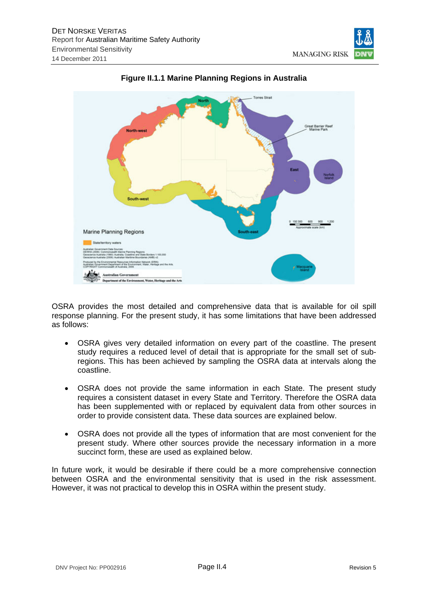



# **Figure II.1.1 Marine Planning Regions in Australia**

OSRA provides the most detailed and comprehensive data that is available for oil spill response planning. For the present study, it has some limitations that have been addressed as follows:

- OSRA gives very detailed information on every part of the coastline. The present study requires a reduced level of detail that is appropriate for the small set of subregions. This has been achieved by sampling the OSRA data at intervals along the coastline.
- OSRA does not provide the same information in each State. The present study requires a consistent dataset in every State and Territory. Therefore the OSRA data has been supplemented with or replaced by equivalent data from other sources in order to provide consistent data. These data sources are explained below.
- OSRA does not provide all the types of information that are most convenient for the present study. Where other sources provide the necessary information in a more succinct form, these are used as explained below.

In future work, it would be desirable if there could be a more comprehensive connection between OSRA and the environmental sensitivity that is used in the risk assessment. However, it was not practical to develop this in OSRA within the present study.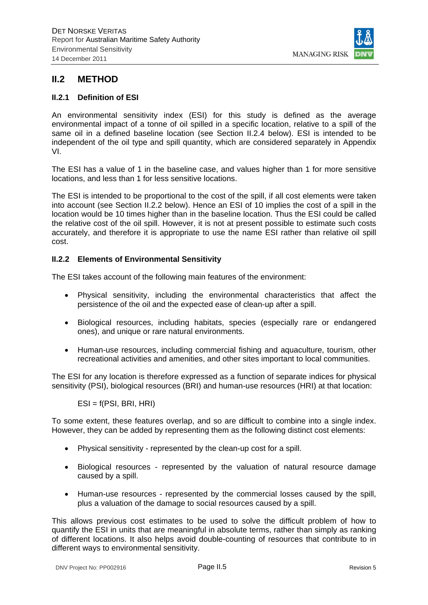

# **II.2 METHOD**

#### **II.2.1 Definition of ESI**

An environmental sensitivity index (ESI) for this study is defined as the average environmental impact of a tonne of oil spilled in a specific location, relative to a spill of the same oil in a defined baseline location (see Section II.2.4 below). ESI is intended to be independent of the oil type and spill quantity, which are considered separately in Appendix VI.

The ESI has a value of 1 in the baseline case, and values higher than 1 for more sensitive locations, and less than 1 for less sensitive locations.

The ESI is intended to be proportional to the cost of the spill, if all cost elements were taken into account (see Section II.2.2 below). Hence an ESI of 10 implies the cost of a spill in the location would be 10 times higher than in the baseline location. Thus the ESI could be called the relative cost of the oil spill. However, it is not at present possible to estimate such costs accurately, and therefore it is appropriate to use the name ESI rather than relative oil spill cost.

#### **II.2.2 Elements of Environmental Sensitivity**

The ESI takes account of the following main features of the environment:

- Physical sensitivity, including the environmental characteristics that affect the persistence of the oil and the expected ease of clean-up after a spill.
- Biological resources, including habitats, species (especially rare or endangered ones), and unique or rare natural environments.
- Human-use resources, including commercial fishing and aquaculture, tourism, other recreational activities and amenities, and other sites important to local communities.

The ESI for any location is therefore expressed as a function of separate indices for physical sensitivity (PSI), biological resources (BRI) and human-use resources (HRI) at that location:

ESI = f(PSI, BRI, HRI)

To some extent, these features overlap, and so are difficult to combine into a single index. However, they can be added by representing them as the following distinct cost elements:

- Physical sensitivity represented by the clean-up cost for a spill.
- Biological resources represented by the valuation of natural resource damage caused by a spill.
- Human-use resources represented by the commercial losses caused by the spill, plus a valuation of the damage to social resources caused by a spill.

This allows previous cost estimates to be used to solve the difficult problem of how to quantify the ESI in units that are meaningful in absolute terms, rather than simply as ranking of different locations. It also helps avoid double-counting of resources that contribute to in different ways to environmental sensitivity.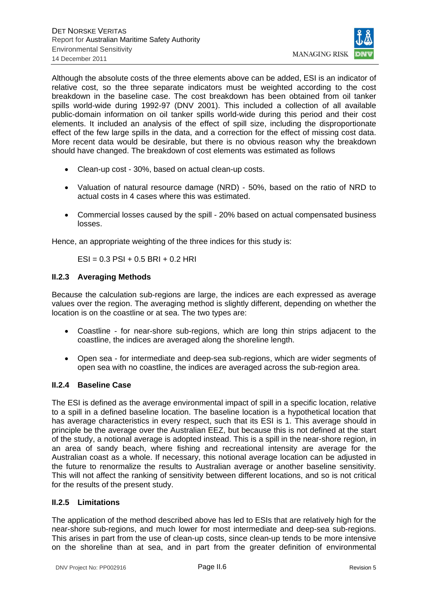

Although the absolute costs of the three elements above can be added, ESI is an indicator of relative cost, so the three separate indicators must be weighted according to the cost breakdown in the baseline case. The cost breakdown has been obtained from oil tanker spills world-wide during 1992-97 (DNV 2001). This included a collection of all available public-domain information on oil tanker spills world-wide during this period and their cost elements. It included an analysis of the effect of spill size, including the disproportionate effect of the few large spills in the data, and a correction for the effect of missing cost data. More recent data would be desirable, but there is no obvious reason why the breakdown should have changed. The breakdown of cost elements was estimated as follows

- Clean-up cost 30%, based on actual clean-up costs.
- Valuation of natural resource damage (NRD) 50%, based on the ratio of NRD to actual costs in 4 cases where this was estimated.
- Commercial losses caused by the spill 20% based on actual compensated business losses.

Hence, an appropriate weighting of the three indices for this study is:

 $ESI = 0.3$  PSI + 0.5 BRI + 0.2 HRI

# **II.2.3 Averaging Methods**

Because the calculation sub-regions are large, the indices are each expressed as average values over the region. The averaging method is slightly different, depending on whether the location is on the coastline or at sea. The two types are:

- Coastline for near-shore sub-regions, which are long thin strips adjacent to the coastline, the indices are averaged along the shoreline length.
- Open sea for intermediate and deep-sea sub-regions, which are wider segments of open sea with no coastline, the indices are averaged across the sub-region area.

# **II.2.4 Baseline Case**

The ESI is defined as the average environmental impact of spill in a specific location, relative to a spill in a defined baseline location. The baseline location is a hypothetical location that has average characteristics in every respect, such that its ESI is 1. This average should in principle be the average over the Australian EEZ, but because this is not defined at the start of the study, a notional average is adopted instead. This is a spill in the near-shore region, in an area of sandy beach, where fishing and recreational intensity are average for the Australian coast as a whole. If necessary, this notional average location can be adjusted in the future to renormalize the results to Australian average or another baseline sensitivity. This will not affect the ranking of sensitivity between different locations, and so is not critical for the results of the present study.

# **II.2.5 Limitations**

The application of the method described above has led to ESIs that are relatively high for the near-shore sub-regions, and much lower for most intermediate and deep-sea sub-regions. This arises in part from the use of clean-up costs, since clean-up tends to be more intensive on the shoreline than at sea, and in part from the greater definition of environmental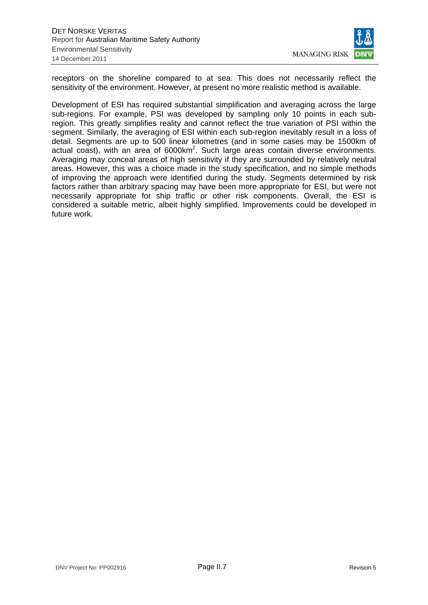

receptors on the shoreline compared to at sea. This does not necessarily reflect the sensitivity of the environment. However, at present no more realistic method is available.

Development of ESI has required substantial simplification and averaging across the large sub-regions. For example, PSI was developed by sampling only 10 points in each subregion. This greatly simplifies reality and cannot reflect the true variation of PSI within the segment. Similarly, the averaging of ESI within each sub-region inevitably result in a loss of detail. Segments are up to 500 linear kilometres (and in some cases may be 1500km of actual coast), with an area of  $6000 \text{km}^2$ . Such large areas contain diverse environments. Averaging may conceal areas of high sensitivity if they are surrounded by relatively neutral areas. However, this was a choice made in the study specification, and no simple methods of improving the approach were identified during the study. Segments determined by risk factors rather than arbitrary spacing may have been more appropriate for ESI, but were not necessarily appropriate for ship traffic or other risk components. Overall, the ESI is considered a suitable metric, albeit highly simplified. Improvements could be developed in future work.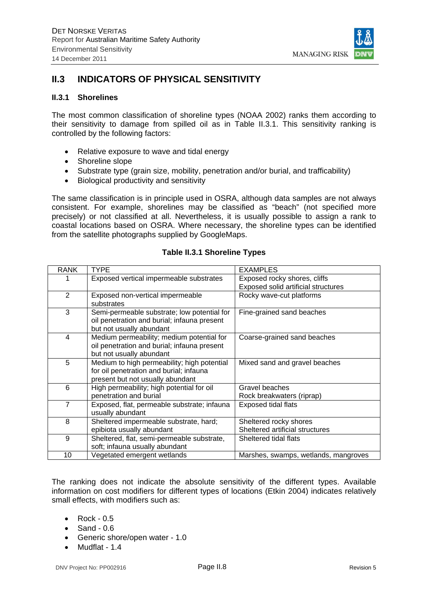

# **II.3 INDICATORS OF PHYSICAL SENSITIVITY**

#### **II.3.1 Shorelines**

The most common classification of shoreline types (NOAA 2002) ranks them according to their sensitivity to damage from spilled oil as in Table II.3.1. This sensitivity ranking is controlled by the following factors:

- Relative exposure to wave and tidal energy
- Shoreline slope
- Substrate type (grain size, mobility, penetration and/or burial, and trafficability)
- Biological productivity and sensitivity

The same classification is in principle used in OSRA, although data samples are not always consistent. For example, shorelines may be classified as "beach" (not specified more precisely) or not classified at all. Nevertheless, it is usually possible to assign a rank to coastal locations based on OSRA. Where necessary, the shoreline types can be identified from the satellite photographs supplied by GoogleMaps.

# **Table II.3.1 Shoreline Types**

| <b>RANK</b> | <b>TYPE</b>                                                                                                                | <b>EXAMPLES</b>                                           |
|-------------|----------------------------------------------------------------------------------------------------------------------------|-----------------------------------------------------------|
|             | Exposed vertical impermeable substrates                                                                                    | Exposed rocky shores, cliffs                              |
|             |                                                                                                                            | Exposed solid artificial structures                       |
| 2           | Exposed non-vertical impermeable<br>substrates                                                                             | Rocky wave-cut platforms                                  |
| 3           | Semi-permeable substrate; low potential for<br>oil penetration and burial; infauna present<br>but not usually abundant     | Fine-grained sand beaches                                 |
| 4           | Medium permeability; medium potential for<br>oil penetration and burial; infauna present<br>but not usually abundant       | Coarse-grained sand beaches                               |
| 5           | Medium to high permeability; high potential<br>for oil penetration and burial; infauna<br>present but not usually abundant | Mixed sand and gravel beaches                             |
| 6           | High permeability; high potential for oil<br>penetration and burial                                                        | Gravel beaches<br>Rock breakwaters (riprap)               |
| 7           | Exposed, flat, permeable substrate; infauna<br>usually abundant                                                            | Exposed tidal flats                                       |
| 8           | Sheltered impermeable substrate, hard;<br>epibiota usually abundant                                                        | Sheltered rocky shores<br>Sheltered artificial structures |
| 9           | Sheltered, flat, semi-permeable substrate,<br>soft; infauna usually abundant                                               | Sheltered tidal flats                                     |
| 10          | Vegetated emergent wetlands                                                                                                | Marshes, swamps, wetlands, mangroves                      |

The ranking does not indicate the absolute sensitivity of the different types. Available information on cost modifiers for different types of locations (Etkin 2004) indicates relatively small effects, with modifiers such as:

- Rock 0.5
- $\bullet$  Sand 0.6
- Generic shore/open water 1.0
- $\bullet$  Mudflat 1.4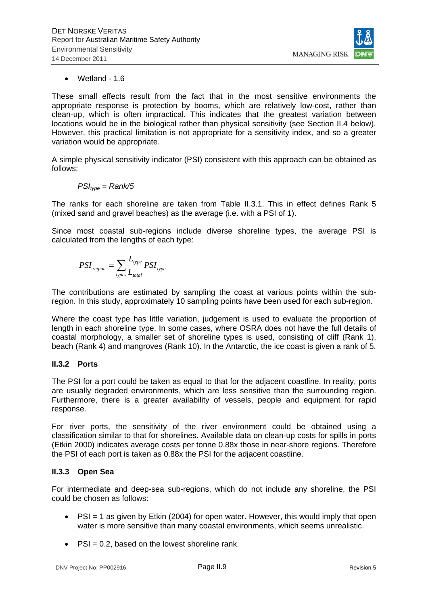

Wetland - 1.6

These small effects result from the fact that in the most sensitive environments the appropriate response is protection by booms, which are relatively low-cost, rather than clean-up, which is often impractical. This indicates that the greatest variation between locations would be in the biological rather than physical sensitivity (see Section II.4 below). However, this practical limitation is not appropriate for a sensitivity index, and so a greater variation would be appropriate.

A simple physical sensitivity indicator (PSI) consistent with this approach can be obtained as follows:

$$
PSI_{type} = Rank/5
$$

The ranks for each shoreline are taken from Table II.3.1. This in effect defines Rank 5 (mixed sand and gravel beaches) as the average (i.e. with a PSI of 1).

Since most coastal sub-regions include diverse shoreline types, the average PSI is calculated from the lengths of each type:

$$
PSI_{region} = \sum_{types} \frac{L_{type}}{L_{total}} PSI_{type}
$$

The contributions are estimated by sampling the coast at various points within the subregion. In this study, approximately 10 sampling points have been used for each sub-region.

Where the coast type has little variation, judgement is used to evaluate the proportion of length in each shoreline type. In some cases, where OSRA does not have the full details of coastal morphology, a smaller set of shoreline types is used, consisting of cliff (Rank 1), beach (Rank 4) and mangroves (Rank 10). In the Antarctic, the ice coast is given a rank of 5.

# **II.3.2 Ports**

The PSI for a port could be taken as equal to that for the adjacent coastline. In reality, ports are usually degraded environments, which are less sensitive than the surrounding region. Furthermore, there is a greater availability of vessels, people and equipment for rapid response.

For river ports, the sensitivity of the river environment could be obtained using a classification similar to that for shorelines. Available data on clean-up costs for spills in ports (Etkin 2000) indicates average costs per tonne 0.88x those in near-shore regions. Therefore the PSI of each port is taken as 0.88x the PSI for the adjacent coastline.

# **II.3.3 Open Sea**

For intermediate and deep-sea sub-regions, which do not include any shoreline, the PSI could be chosen as follows:

- $\bullet$  PSI = 1 as given by Etkin (2004) for open water. However, this would imply that open water is more sensitive than many coastal environments, which seems unrealistic.
- $PSI = 0.2$ , based on the lowest shoreline rank.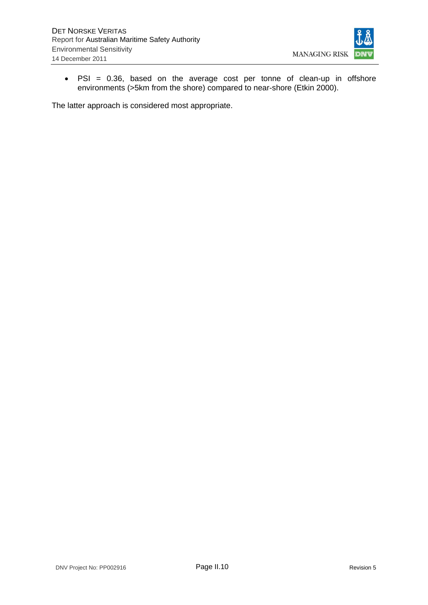

 PSI = 0.36, based on the average cost per tonne of clean-up in offshore environments (>5km from the shore) compared to near-shore (Etkin 2000).

The latter approach is considered most appropriate.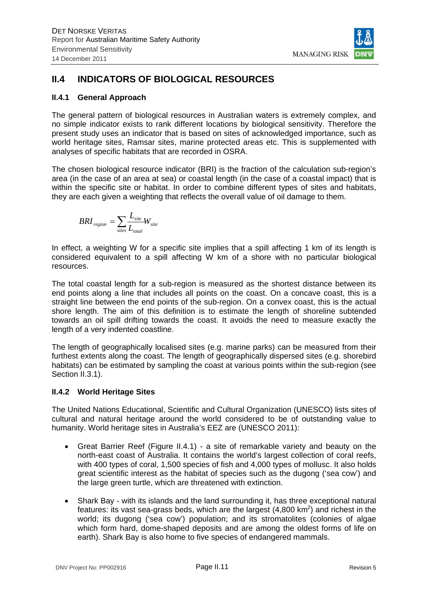

# **II.4 INDICATORS OF BIOLOGICAL RESOURCES**

# **II.4.1 General Approach**

The general pattern of biological resources in Australian waters is extremely complex, and no simple indicator exists to rank different locations by biological sensitivity. Therefore the present study uses an indicator that is based on sites of acknowledged importance, such as world heritage sites, Ramsar sites, marine protected areas etc. This is supplemented with analyses of specific habitats that are recorded in OSRA.

The chosen biological resource indicator (BRI) is the fraction of the calculation sub-region's area (in the case of an area at sea) or coastal length (in the case of a coastal impact) that is within the specific site or habitat. In order to combine different types of sites and habitats, they are each given a weighting that reflects the overall value of oil damage to them.

$$
BRI_{region} = \sum_{sites} \frac{L_{site}}{L_{total}} W_{site}
$$

In effect, a weighting W for a specific site implies that a spill affecting 1 km of its length is considered equivalent to a spill affecting W km of a shore with no particular biological resources.

The total coastal length for a sub-region is measured as the shortest distance between its end points along a line that includes all points on the coast. On a concave coast, this is a straight line between the end points of the sub-region. On a convex coast, this is the actual shore length. The aim of this definition is to estimate the length of shoreline subtended towards an oil spill drifting towards the coast. It avoids the need to measure exactly the length of a very indented coastline.

The length of geographically localised sites (e.g. marine parks) can be measured from their furthest extents along the coast. The length of geographically dispersed sites (e.g. shorebird habitats) can be estimated by sampling the coast at various points within the sub-region (see Section II.3.1).

# **II.4.2 World Heritage Sites**

The United Nations Educational, Scientific and Cultural Organization (UNESCO) lists sites of cultural and natural heritage around the world considered to be of outstanding value to humanity. World heritage sites in Australia's EEZ are (UNESCO 2011):

- Great Barrier Reef (Figure II.4.1) a site of remarkable variety and beauty on the north-east coast of Australia. It contains the world's largest collection of coral reefs, with 400 types of coral, 1,500 species of fish and 4,000 types of mollusc. It also holds great scientific interest as the habitat of species such as the dugong ('sea cow') and the large green turtle, which are threatened with extinction.
- Shark Bay with its islands and the land surrounding it, has three exceptional natural features: its vast sea-grass beds, which are the largest  $(4,800 \text{ km}^2)$  and richest in the world; its dugong ('sea cow') population; and its stromatolites (colonies of algae which form hard, dome-shaped deposits and are among the oldest forms of life on earth). Shark Bay is also home to five species of endangered mammals.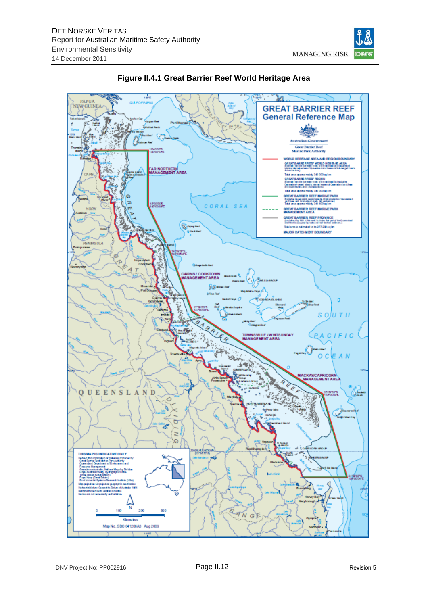



 $1456$ 

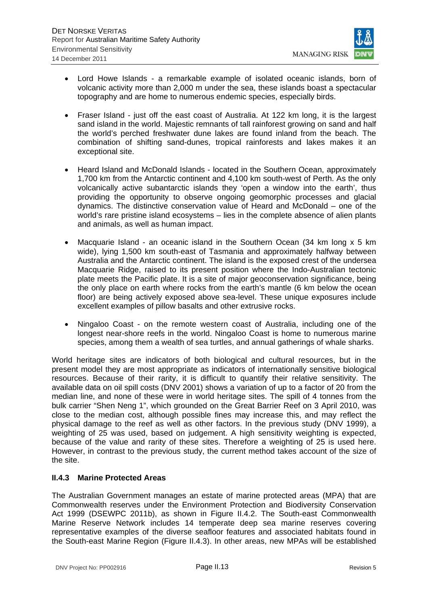

- Lord Howe Islands a remarkable example of isolated oceanic islands, born of volcanic activity more than 2,000 m under the sea, these islands boast a spectacular topography and are home to numerous endemic species, especially birds.
- Fraser Island just off the east coast of Australia. At 122 km long, it is the largest sand island in the world. Majestic remnants of tall rainforest growing on sand and half the world's perched freshwater dune lakes are found inland from the beach. The combination of shifting sand-dunes, tropical rainforests and lakes makes it an exceptional site.
- Heard Island and McDonald Islands located in the Southern Ocean, approximately 1,700 km from the Antarctic continent and 4,100 km south-west of Perth. As the only volcanically active subantarctic islands they 'open a window into the earth', thus providing the opportunity to observe ongoing geomorphic processes and glacial dynamics. The distinctive conservation value of Heard and McDonald – one of the world's rare pristine island ecosystems – lies in the complete absence of alien plants and animals, as well as human impact.
- Macquarie Island an oceanic island in the Southern Ocean (34 km long x 5 km wide), lying 1,500 km south-east of Tasmania and approximately halfway between Australia and the Antarctic continent. The island is the exposed crest of the undersea Macquarie Ridge, raised to its present position where the Indo-Australian tectonic plate meets the Pacific plate. It is a site of major geoconservation significance, being the only place on earth where rocks from the earth's mantle (6 km below the ocean floor) are being actively exposed above sea-level. These unique exposures include excellent examples of pillow basalts and other extrusive rocks.
- Ningaloo Coast on the remote western coast of Australia, including one of the longest near-shore reefs in the world. Ningaloo Coast is home to numerous marine species, among them a wealth of sea turtles, and annual gatherings of whale sharks.

World heritage sites are indicators of both biological and cultural resources, but in the present model they are most appropriate as indicators of internationally sensitive biological resources. Because of their rarity, it is difficult to quantify their relative sensitivity. The available data on oil spill costs (DNV 2001) shows a variation of up to a factor of 20 from the median line, and none of these were in world heritage sites. The spill of 4 tonnes from the bulk carrier "Shen Neng 1", which grounded on the Great Barrier Reef on 3 April 2010, was close to the median cost, although possible fines may increase this, and may reflect the physical damage to the reef as well as other factors. In the previous study (DNV 1999), a weighting of 25 was used, based on judgement. A high sensitivity weighting is expected, because of the value and rarity of these sites. Therefore a weighting of 25 is used here. However, in contrast to the previous study, the current method takes account of the size of the site.

# **II.4.3 Marine Protected Areas**

The Australian Government manages an estate of marine protected areas (MPA) that are Commonwealth reserves under the Environment Protection and Biodiversity Conservation Act 1999 (DSEWPC 2011b), as shown in Figure II.4.2. The South-east Commonwealth Marine Reserve Network includes 14 temperate deep sea marine reserves covering representative examples of the diverse seafloor features and associated habitats found in the South-east Marine Region (Figure II.4.3). In other areas, new MPAs will be established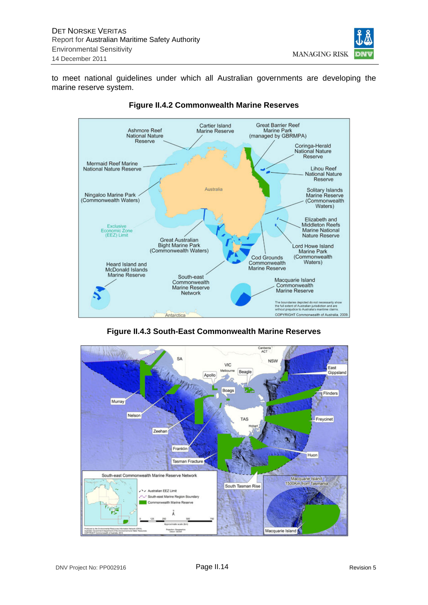

to meet national guidelines under which all Australian governments are developing the marine reserve system.



# **Figure II.4.2 Commonwealth Marine Reserves**

**Figure II.4.3 South-East Commonwealth Marine Reserves** 

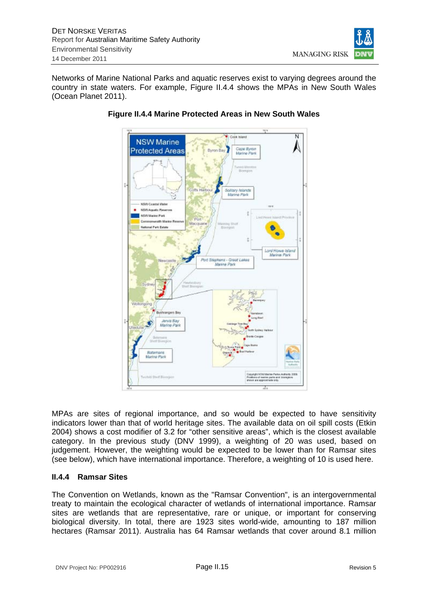

Networks of Marine National Parks and aquatic reserves exist to varying degrees around the country in state waters. For example, Figure II.4.4 shows the MPAs in New South Wales (Ocean Planet 2011).



# **Figure II.4.4 Marine Protected Areas in New South Wales**

MPAs are sites of regional importance, and so would be expected to have sensitivity indicators lower than that of world heritage sites. The available data on oil spill costs (Etkin 2004) shows a cost modifier of 3.2 for "other sensitive areas", which is the closest available category. In the previous study (DNV 1999), a weighting of 20 was used, based on judgement. However, the weighting would be expected to be lower than for Ramsar sites (see below), which have international importance. Therefore, a weighting of 10 is used here.

# **II.4.4 Ramsar Sites**

The Convention on Wetlands, known as the "Ramsar Convention", is an intergovernmental treaty to maintain the ecological character of wetlands of international importance. Ramsar sites are wetlands that are representative, rare or unique, or important for conserving biological diversity. In total, there are 1923 sites world-wide, amounting to 187 million hectares (Ramsar 2011). Australia has 64 Ramsar wetlands that cover around 8.1 million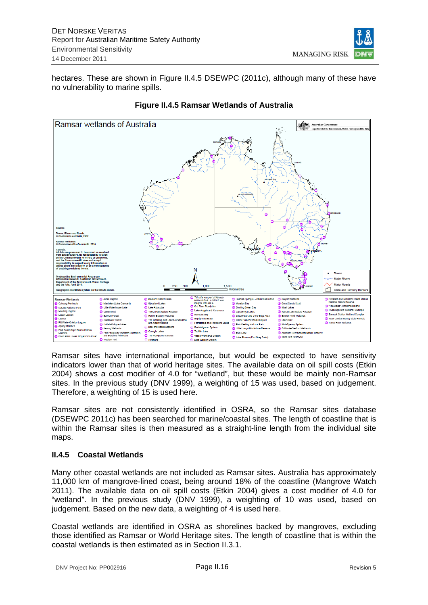

hectares. These are shown in Figure II.4.5 DSEWPC (2011c), although many of these have no vulnerability to marine spills.



# **Figure II.4.5 Ramsar Wetlands of Australia**

Ramsar sites have international importance, but would be expected to have sensitivity indicators lower than that of world heritage sites. The available data on oil spill costs (Etkin 2004) shows a cost modifier of 4.0 for "wetland", but these would be mainly non-Ramsar sites. In the previous study (DNV 1999), a weighting of 15 was used, based on judgement. Therefore, a weighting of 15 is used here.

Ramsar sites are not consistently identified in OSRA, so the Ramsar sites database (DSEWPC 2011c) has been searched for marine/coastal sites. The length of coastline that is within the Ramsar sites is then measured as a straight-line length from the individual site maps.

# **II.4.5 Coastal Wetlands**

Many other coastal wetlands are not included as Ramsar sites. Australia has approximately 11,000 km of mangrove-lined coast, being around 18% of the coastline (Mangrove Watch 2011). The available data on oil spill costs (Etkin 2004) gives a cost modifier of 4.0 for "wetland". In the previous study (DNV 1999), a weighting of 10 was used, based on judgement. Based on the new data, a weighting of 4 is used here.

Coastal wetlands are identified in OSRA as shorelines backed by mangroves, excluding those identified as Ramsar or World Heritage sites. The length of coastline that is within the coastal wetlands is then estimated as in Section II.3.1.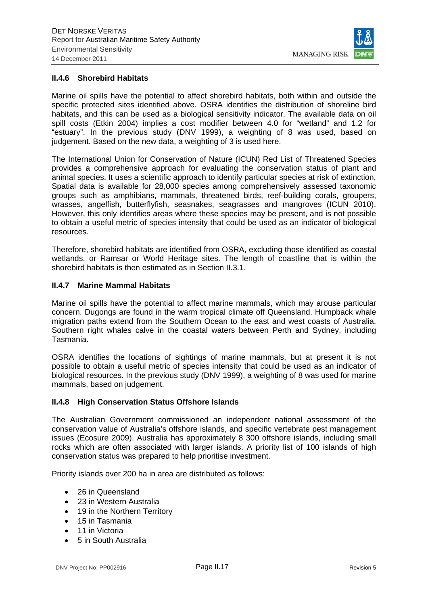

#### **II.4.6 Shorebird Habitats**

Marine oil spills have the potential to affect shorebird habitats, both within and outside the specific protected sites identified above. OSRA identifies the distribution of shoreline bird habitats, and this can be used as a biological sensitivity indicator. The available data on oil spill costs (Etkin 2004) implies a cost modifier between 4.0 for "wetland" and 1.2 for "estuary". In the previous study (DNV 1999), a weighting of 8 was used, based on judgement. Based on the new data, a weighting of 3 is used here.

The International Union for Conservation of Nature (ICUN) Red List of Threatened Species provides a comprehensive approach for evaluating the conservation status of plant and animal species. It uses a scientific approach to identify particular species at risk of extinction. Spatial data is available for 28,000 species among comprehensively assessed taxonomic groups such as amphibians, mammals, threatened birds, reef-building corals, groupers, wrasses, angelfish, butterflyfish, seasnakes, seagrasses and mangroves (ICUN 2010). However, this only identifies areas where these species may be present, and is not possible to obtain a useful metric of species intensity that could be used as an indicator of biological resources.

Therefore, shorebird habitats are identified from OSRA, excluding those identified as coastal wetlands, or Ramsar or World Heritage sites. The length of coastline that is within the shorebird habitats is then estimated as in Section II.3.1.

#### **II.4.7 Marine Mammal Habitats**

Marine oil spills have the potential to affect marine mammals, which may arouse particular concern. Dugongs are found in the warm tropical climate off Queensland. Humpback whale migration paths extend from the Southern Ocean to the east and west coasts of Australia. Southern right whales calve in the coastal waters between Perth and Sydney, including Tasmania.

OSRA identifies the locations of sightings of marine mammals, but at present it is not possible to obtain a useful metric of species intensity that could be used as an indicator of biological resources. In the previous study (DNV 1999), a weighting of 8 was used for marine mammals, based on judgement.

#### **II.4.8 High Conservation Status Offshore Islands**

The Australian Government commissioned an independent national assessment of the conservation value of Australia's offshore islands, and specific vertebrate pest management issues (Ecosure 2009). Australia has approximately 8 300 offshore islands, including small rocks which are often associated with larger islands. A priority list of 100 islands of high conservation status was prepared to help prioritise investment.

Priority islands over 200 ha in area are distributed as follows:

- 26 in Queensland
- 23 in Western Australia
- 19 in the Northern Territory
- 15 in Tasmania
- 11 in Victoria
- 5 in South Australia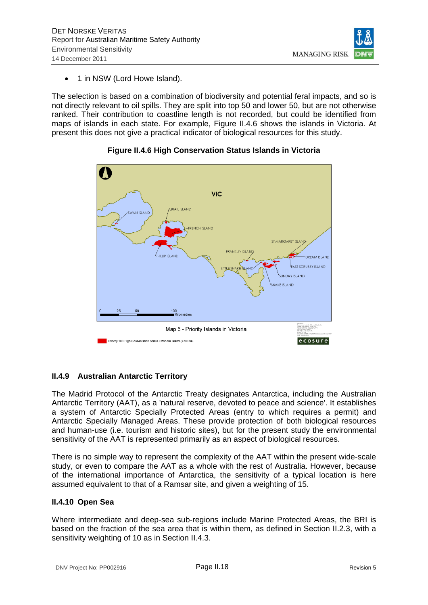

1 in NSW (Lord Howe Island).

The selection is based on a combination of biodiversity and potential feral impacts, and so is not directly relevant to oil spills. They are split into top 50 and lower 50, but are not otherwise ranked. Their contribution to coastline length is not recorded, but could be identified from maps of islands in each state. For example, Figure II.4.6 shows the islands in Victoria. At present this does not give a practical indicator of biological resources for this study.



# **Figure II.4.6 High Conservation Status Islands in Victoria**

# **II.4.9 Australian Antarctic Territory**

The Madrid Protocol of the Antarctic Treaty designates Antarctica, including the Australian Antarctic Territory (AAT), as a 'natural reserve, devoted to peace and science'. It establishes a system of Antarctic Specially Protected Areas (entry to which requires a permit) and Antarctic Specially Managed Areas. These provide protection of both biological resources and human-use (i.e. tourism and historic sites), but for the present study the environmental sensitivity of the AAT is represented primarily as an aspect of biological resources.

There is no simple way to represent the complexity of the AAT within the present wide-scale study, or even to compare the AAT as a whole with the rest of Australia. However, because of the international importance of Antarctica, the sensitivity of a typical location is here assumed equivalent to that of a Ramsar site, and given a weighting of 15.

# **II.4.10 Open Sea**

Where intermediate and deep-sea sub-regions include Marine Protected Areas, the BRI is based on the fraction of the sea area that is within them, as defined in Section II.2.3, with a sensitivity weighting of 10 as in Section II.4.3.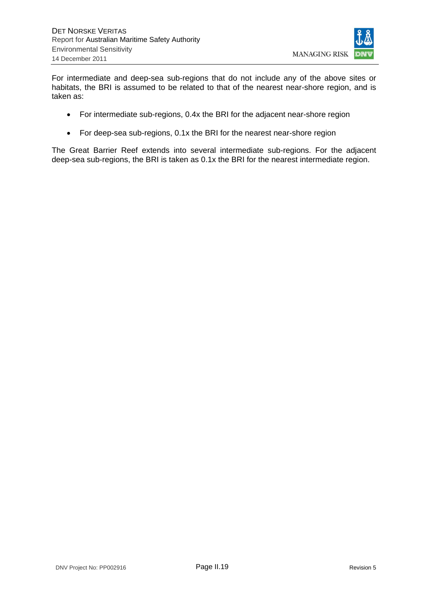

For intermediate and deep-sea sub-regions that do not include any of the above sites or habitats, the BRI is assumed to be related to that of the nearest near-shore region, and is taken as:

- For intermediate sub-regions, 0.4x the BRI for the adjacent near-shore region
- For deep-sea sub-regions, 0.1x the BRI for the nearest near-shore region

The Great Barrier Reef extends into several intermediate sub-regions. For the adjacent deep-sea sub-regions, the BRI is taken as 0.1x the BRI for the nearest intermediate region.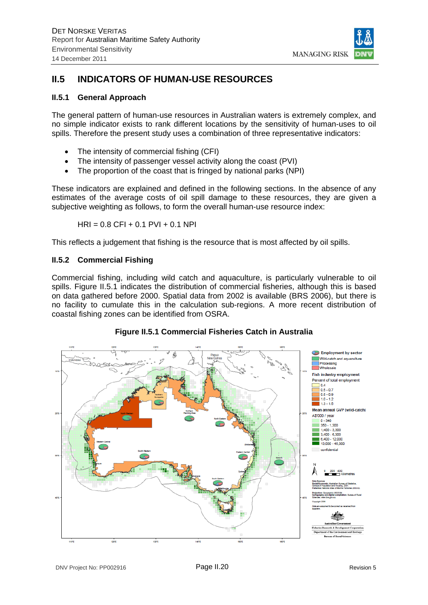

# **II.5 INDICATORS OF HUMAN-USE RESOURCES**

### **II.5.1 General Approach**

The general pattern of human-use resources in Australian waters is extremely complex, and no simple indicator exists to rank different locations by the sensitivity of human-uses to oil spills. Therefore the present study uses a combination of three representative indicators:

- The intensity of commercial fishing (CFI)
- The intensity of passenger vessel activity along the coast (PVI)
- The proportion of the coast that is fringed by national parks (NPI)

These indicators are explained and defined in the following sections. In the absence of any estimates of the average costs of oil spill damage to these resources, they are given a subjective weighting as follows, to form the overall human-use resource index:

$$
HRI = 0.8 CFI + 0.1 PVI + 0.1 NPI
$$

This reflects a judgement that fishing is the resource that is most affected by oil spills.

#### **II.5.2 Commercial Fishing**

Commercial fishing, including wild catch and aquaculture, is particularly vulnerable to oil spills. Figure II.5.1 indicates the distribution of commercial fisheries, although this is based on data gathered before 2000. Spatial data from 2002 is available (BRS 2006), but there is no facility to cumulate this in the calculation sub-regions. A more recent distribution of coastal fishing zones can be identified from OSRA.

# **Figure II.5.1 Commercial Fisheries Catch in Australia**

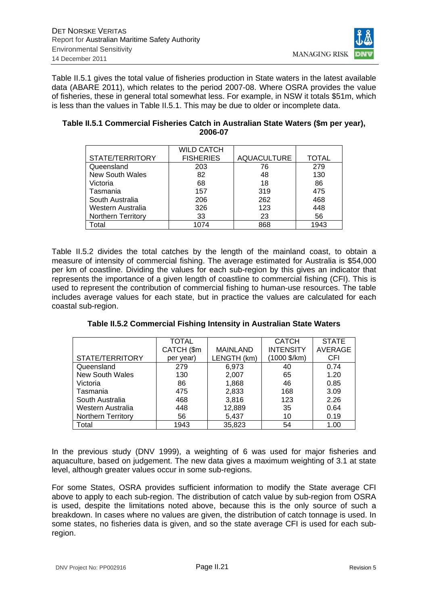

Table II.5.1 gives the total value of fisheries production in State waters in the latest available data (ABARE 2011), which relates to the period 2007-08. Where OSRA provides the value of fisheries, these in general total somewhat less. For example, in NSW it totals \$51m, which is less than the values in Table II.5.1. This may be due to older or incomplete data.

|                           | <b>WILD CATCH</b> |                    |              |
|---------------------------|-------------------|--------------------|--------------|
| STATE/TERRITORY           | <b>FISHERIES</b>  | <b>AQUACULTURE</b> | <b>TOTAL</b> |
| Queensland                | 203               | 76                 | 279          |
| New South Wales           | 82                | 48                 | 130          |
| Victoria                  | 68                | 18                 | 86           |
| Tasmania                  | 157               | 319                | 475          |
| South Australia           | 206               | 262                | 468          |
| Western Australia         | 326               | 123                | 448          |
| <b>Northern Territory</b> | 33                | 23                 | 56           |
| otal                      | 1074              | 868                | 1943         |

#### **Table II.5.1 Commercial Fisheries Catch in Australian State Waters (\$m per year), 2006-07**

Table II.5.2 divides the total catches by the length of the mainland coast, to obtain a measure of intensity of commercial fishing. The average estimated for Australia is \$54,000 per km of coastline. Dividing the values for each sub-region by this gives an indicator that represents the importance of a given length of coastline to commercial fishing (CFI). This is used to represent the contribution of commercial fishing to human-use resources. The table includes average values for each state, but in practice the values are calculated for each coastal sub-region.

|                           | TOTAL      |                 | <b>CATCH</b>          | <b>STATE</b>   |
|---------------------------|------------|-----------------|-----------------------|----------------|
|                           | CATCH (\$m | <b>MAINLAND</b> | <b>INTENSITY</b>      | <b>AVERAGE</b> |
| STATE/TERRITORY           | per year)  | LENGTH (km)     | $(1000 \frac{5}{km})$ | <b>CFI</b>     |
| Queensland                | 279        | 6,973           | 40                    | 0.74           |
| New South Wales           | 130        | 2,007           | 65                    | 1.20           |
| Victoria                  | 86         | 1,868           | 46                    | 0.85           |
| Tasmania                  | 475        | 2,833           | 168                   | 3.09           |
| South Australia           | 468        | 3,816           | 123                   | 2.26           |
| Western Australia         | 448        | 12,889          | 35                    | 0.64           |
| <b>Northern Territory</b> | 56         | 5,437           | 10                    | 0.19           |
| Total                     | 1943       | 35,823          | 54                    | 1.00           |

**Table II.5.2 Commercial Fishing Intensity in Australian State Waters** 

In the previous study (DNV 1999), a weighting of 6 was used for major fisheries and aquaculture, based on judgement. The new data gives a maximum weighting of 3.1 at state level, although greater values occur in some sub-regions.

For some States, OSRA provides sufficient information to modify the State average CFI above to apply to each sub-region. The distribution of catch value by sub-region from OSRA is used, despite the limitations noted above, because this is the only source of such a breakdown. In cases where no values are given, the distribution of catch tonnage is used. In some states, no fisheries data is given, and so the state average CFI is used for each subregion.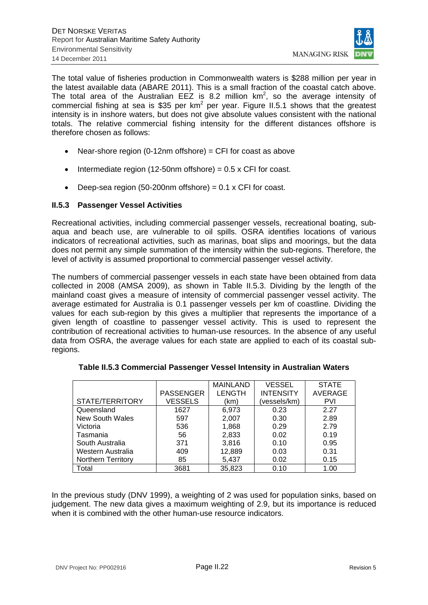

The total value of fisheries production in Commonwealth waters is \$288 million per year in the latest available data (ABARE 2011). This is a small fraction of the coastal catch above. The total area of the Australian EEZ is 8.2 million  $km^2$ , so the average intensity of commercial fishing at sea is \$35 per  $km^2$  per year. Figure II.5.1 shows that the greatest intensity is in inshore waters, but does not give absolute values consistent with the national totals. The relative commercial fishing intensity for the different distances offshore is therefore chosen as follows:

- Near-shore region  $(0-12n)$  offshore) = CFI for coast as above
- $\bullet$  Intermediate region (12-50nm offshore) = 0.5 x CFI for coast.
- $\bullet$  Deep-sea region (50-200nm offshore) = 0.1 x CFI for coast.

# **II.5.3 Passenger Vessel Activities**

Recreational activities, including commercial passenger vessels, recreational boating, subaqua and beach use, are vulnerable to oil spills. OSRA identifies locations of various indicators of recreational activities, such as marinas, boat slips and moorings, but the data does not permit any simple summation of the intensity within the sub-regions. Therefore, the level of activity is assumed proportional to commercial passenger vessel activity.

The numbers of commercial passenger vessels in each state have been obtained from data collected in 2008 (AMSA 2009), as shown in Table II.5.3. Dividing by the length of the mainland coast gives a measure of intensity of commercial passenger vessel activity. The average estimated for Australia is 0.1 passenger vessels per km of coastline. Dividing the values for each sub-region by this gives a multiplier that represents the importance of a given length of coastline to passenger vessel activity. This is used to represent the contribution of recreational activities to human-use resources. In the absence of any useful data from OSRA, the average values for each state are applied to each of its coastal subregions.

|                           |                  | <b>MAINLAND</b> | <b>VESSEL</b>    | <b>STATE</b> |
|---------------------------|------------------|-----------------|------------------|--------------|
|                           | <b>PASSENGER</b> | <b>LENGTH</b>   | <b>INTENSITY</b> | AVERAGE      |
| STATE/TERRITORY           | <b>VESSELS</b>   | (km)            | (vessels/km)     | <b>PVI</b>   |
| Queensland                | 1627             | 6,973           | 0.23             | 2.27         |
| <b>New South Wales</b>    | 597              | 2,007           | 0.30             | 2.89         |
| Victoria                  | 536              | 1,868           | 0.29             | 2.79         |
| Tasmania                  | 56               | 2,833           | 0.02             | 0.19         |
| South Australia           | 371              | 3,816           | 0.10             | 0.95         |
| Western Australia         | 409              | 12,889          | 0.03             | 0.31         |
| <b>Northern Territory</b> | 85               | 5,437           | 0.02             | 0.15         |
| Total                     | 3681             | 35,823          | 0.10             | 1.00         |

|  | Table II.5.3 Commercial Passenger Vessel Intensity in Australian Waters |  |  |  |
|--|-------------------------------------------------------------------------|--|--|--|
|--|-------------------------------------------------------------------------|--|--|--|

In the previous study (DNV 1999), a weighting of 2 was used for population sinks, based on judgement. The new data gives a maximum weighting of 2.9, but its importance is reduced when it is combined with the other human-use resource indicators.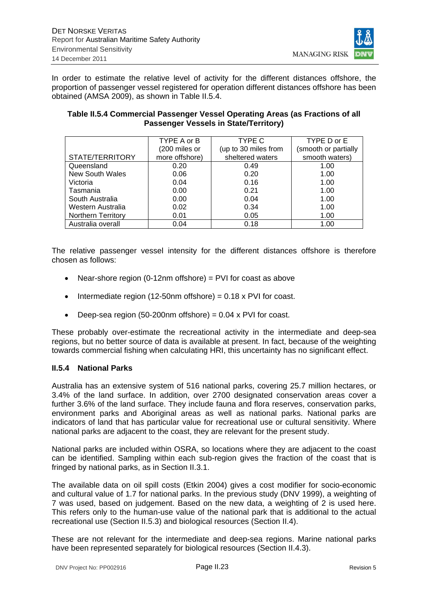

In order to estimate the relative level of activity for the different distances offshore, the proportion of passenger vessel registered for operation different distances offshore has been obtained (AMSA 2009), as shown in Table II.5.4.

#### **Table II.5.4 Commercial Passenger Vessel Operating Areas (as Fractions of all Passenger Vessels in State/Territory)**

|                    | TYPE A or B    | TYPE C               | TYPE D or E          |
|--------------------|----------------|----------------------|----------------------|
|                    | (200 miles or  | (up to 30 miles from | (smooth or partially |
| STATE/TERRITORY    | more offshore) | sheltered waters     | smooth waters)       |
| Queensland         | 0.20           | 0.49                 | 1.00                 |
| New South Wales    | 0.06           | 0.20                 | 1.00                 |
| Victoria           | 0.04           | 0.16                 | 1.00                 |
| Tasmania           | 0.00           | 0.21                 | 1.00                 |
| South Australia    | 0.00           | 0.04                 | 1.00                 |
| Western Australia  | 0.02           | 0.34                 | 1.00                 |
| Northern Territory | 0.01           | 0.05                 | 1.00                 |
| Australia overall  | 0.04           | 0.18                 | 1.00                 |

The relative passenger vessel intensity for the different distances offshore is therefore chosen as follows:

- Near-shore region (0-12nm offshore) = PVI for coast as above
- $\bullet$  Intermediate region (12-50nm offshore) = 0.18 x PVI for coast.
- $\bullet$  Deep-sea region (50-200nm offshore) = 0.04 x PVI for coast.

These probably over-estimate the recreational activity in the intermediate and deep-sea regions, but no better source of data is available at present. In fact, because of the weighting towards commercial fishing when calculating HRI, this uncertainty has no significant effect.

#### **II.5.4 National Parks**

Australia has an extensive system of 516 national parks, covering 25.7 million hectares, or 3.4% of the land surface. In addition, over 2700 designated conservation areas cover a further 3.6% of the land surface. They include fauna and flora reserves, conservation parks, environment parks and Aboriginal areas as well as national parks. National parks are indicators of land that has particular value for recreational use or cultural sensitivity. Where national parks are adjacent to the coast, they are relevant for the present study.

National parks are included within OSRA, so locations where they are adjacent to the coast can be identified. Sampling within each sub-region gives the fraction of the coast that is fringed by national parks, as in Section II.3.1.

The available data on oil spill costs (Etkin 2004) gives a cost modifier for socio-economic and cultural value of 1.7 for national parks. In the previous study (DNV 1999), a weighting of 7 was used, based on judgement. Based on the new data, a weighting of 2 is used here. This refers only to the human-use value of the national park that is additional to the actual recreational use (Section II.5.3) and biological resources (Section II.4).

These are not relevant for the intermediate and deep-sea regions. Marine national parks have been represented separately for biological resources (Section II.4.3).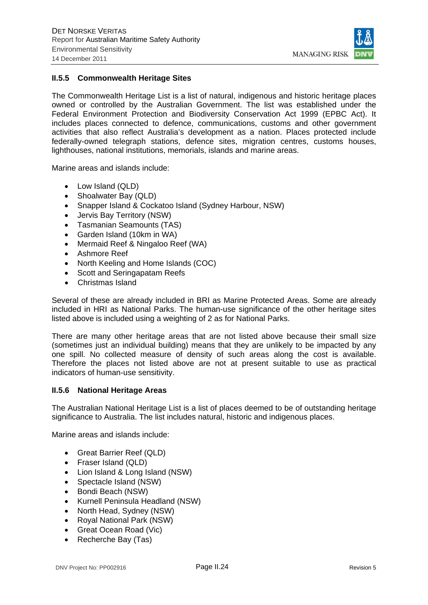

#### **II.5.5 Commonwealth Heritage Sites**

The Commonwealth Heritage List is a list of natural, indigenous and historic heritage places owned or controlled by the Australian Government. The list was established under the Federal Environment Protection and Biodiversity Conservation Act 1999 (EPBC Act). It includes places connected to defence, communications, customs and other government activities that also reflect Australia's development as a nation. Places protected include federally-owned telegraph stations, defence sites, migration centres, customs houses, lighthouses, national institutions, memorials, islands and marine areas.

Marine areas and islands include:

- Low Island (QLD)
- Shoalwater Bay (QLD)
- Snapper Island & Cockatoo Island (Sydney Harbour, NSW)
- Jervis Bay Territory (NSW)
- Tasmanian Seamounts (TAS)
- Garden Island (10km in WA)
- Mermaid Reef & Ningaloo Reef (WA)
- Ashmore Reef
- North Keeling and Home Islands (COC)
- Scott and Seringapatam Reefs
- Christmas Island

Several of these are already included in BRI as Marine Protected Areas. Some are already included in HRI as National Parks. The human-use significance of the other heritage sites listed above is included using a weighting of 2 as for National Parks.

There are many other heritage areas that are not listed above because their small size (sometimes just an individual building) means that they are unlikely to be impacted by any one spill. No collected measure of density of such areas along the cost is available. Therefore the places not listed above are not at present suitable to use as practical indicators of human-use sensitivity.

#### **II.5.6 National Heritage Areas**

The Australian National Heritage List is a list of places deemed to be of outstanding heritage significance to Australia. The list includes natural, historic and indigenous places.

Marine areas and islands include:

- Great Barrier Reef (QLD)
- Fraser Island (QLD)
- Lion Island & Long Island (NSW)
- Spectacle Island (NSW)
- Bondi Beach (NSW)
- Kurnell Peninsula Headland (NSW)
- North Head, Sydney (NSW)
- Royal National Park (NSW)
- Great Ocean Road (Vic)
- Recherche Bay (Tas)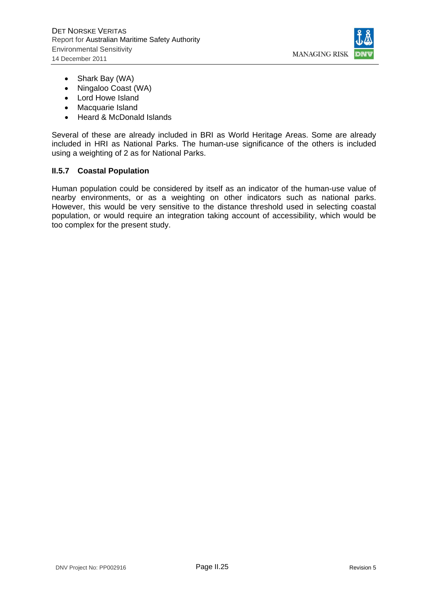

- Shark Bay (WA)
- Ningaloo Coast (WA)
- Lord Howe Island
- Macquarie Island
- Heard & McDonald Islands

Several of these are already included in BRI as World Heritage Areas. Some are already included in HRI as National Parks. The human-use significance of the others is included using a weighting of 2 as for National Parks.

#### **II.5.7 Coastal Population**

Human population could be considered by itself as an indicator of the human-use value of nearby environments, or as a weighting on other indicators such as national parks. However, this would be very sensitive to the distance threshold used in selecting coastal population, or would require an integration taking account of accessibility, which would be too complex for the present study.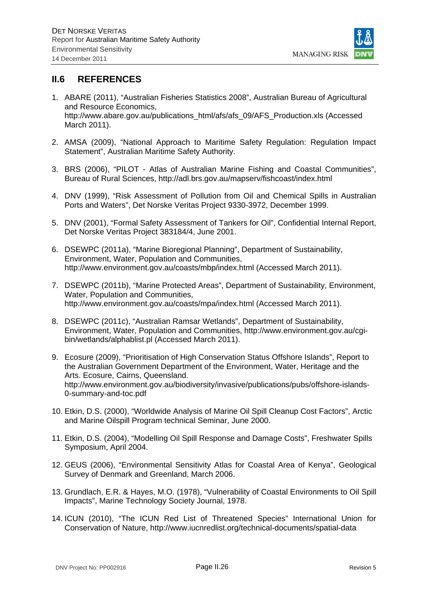

# **II.6 REFERENCES**

- 1. ABARE (2011), "Australian Fisheries Statistics 2008", Australian Bureau of Agricultural and Resource Economics, http://www.abare.gov.au/publications\_html/afs/afs\_09/AFS\_Production.xls (Accessed March 2011).
- 2. AMSA (2009), "National Approach to Maritime Safety Regulation: Regulation Impact Statement", Australian Maritime Safety Authority.
- 3. BRS (2006), "PILOT Atlas of Australian Marine Fishing and Coastal Communities", Bureau of Rural Sciences, http://adl.brs.gov.au/mapserv/fishcoast/index.html
- 4. DNV (1999), "Risk Assessment of Pollution from Oil and Chemical Spills in Australian Ports and Waters", Det Norske Veritas Project 9330-3972, December 1999.
- 5. DNV (2001), "Formal Safety Assessment of Tankers for Oil", Confidential Internal Report, Det Norske Veritas Project 383184/4, June 2001.
- 6. DSEWPC (2011a), "Marine Bioregional Planning", Department of Sustainability, Environment, Water, Population and Communities, http://www.environment.gov.au/coasts/mbp/index.html (Accessed March 2011).
- 7. DSEWPC (2011b), "Marine Protected Areas", Department of Sustainability, Environment, Water, Population and Communities, http://www.environment.gov.au/coasts/mpa/index.html (Accessed March 2011).
- 8. DSEWPC (2011c), "Australian Ramsar Wetlands", Department of Sustainability, Environment, Water, Population and Communities, http://www.environment.gov.au/cgibin/wetlands/alphablist.pl (Accessed March 2011).
- 9. Ecosure (2009), "Prioritisation of High Conservation Status Offshore Islands", Report to the Australian Government Department of the Environment, Water, Heritage and the Arts. Ecosure, Cairns, Queensland. http://www.environment.gov.au/biodiversity/invasive/publications/pubs/offshore-islands-0-summary-and-toc.pdf
- 10. Etkin, D.S. (2000), "Worldwide Analysis of Marine Oil Spill Cleanup Cost Factors", Arctic and Marine Oilspill Program technical Seminar, June 2000.
- 11. Etkin, D.S. (2004), "Modelling Oil Spill Response and Damage Costs", Freshwater Spills Symposium, April 2004.
- 12. GEUS (2006), "Environmental Sensitivity Atlas for Coastal Area of Kenya", Geological Survey of Denmark and Greenland, March 2006.
- 13. Grundlach, E.R. & Hayes, M.O. (1978), "Vulnerability of Coastal Environments to Oil Spill Impacts", Marine Technology Society Journal, 1978.
- 14. ICUN (2010), "The ICUN Red List of Threatened Species" International Union for Conservation of Nature, http://www.iucnredlist.org/technical-documents/spatial-data